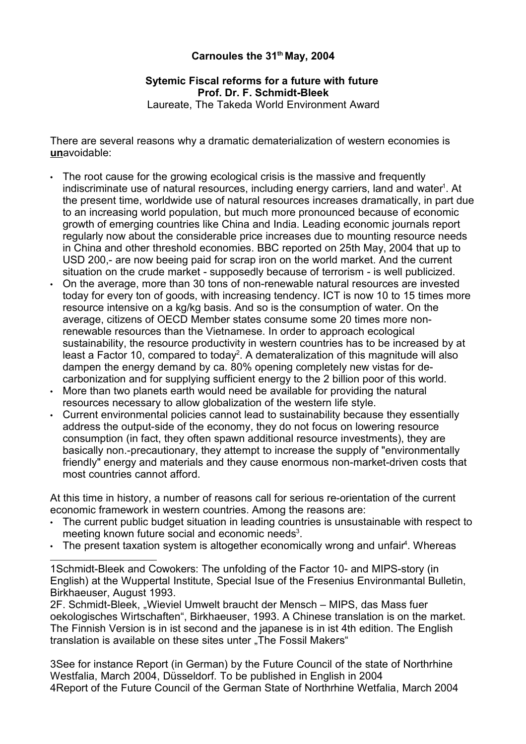## **Carnoules the 31th May, 2004**

## **Sytemic Fiscal reforms for a future with future Prof. Dr. F. Schmidt-Bleek**

Laureate, The Takeda World Environment Award

There are several reasons why a dramatic dematerialization of western economies is **un**avoidable:

- The root cause for the growing ecological crisis is the massive and frequently indiscriminate use of natural resources, including energy carriers, land and water<sup>1</sup>. At the present time, worldwide use of natural resources increases dramatically, in part due to an increasing world population, but much more pronounced because of economic growth of emerging countries like China and India. Leading economic journals report regularly now about the considerable price increases due to mounting resource needs in China and other threshold economies. BBC reported on 25th May, 2004 that up to USD 200,- are now beeing paid for scrap iron on the world market. And the current situation on the crude market - supposedly because of terrorism - is well publicized.
- On the average, more than 30 tons of non-renewable natural resources are invested today for every ton of goods, with increasing tendency. ICT is now 10 to 15 times more resource intensive on a kg/kg basis. And so is the consumption of water. On the average, citizens of OECD Member states consume some 20 times more nonrenewable resources than the Vietnamese. In order to approach ecological sustainability, the resource productivity in western countries has to be increased by at least a Factor 10, compared to today<sup>2</sup>. A demateralization of this magnitude will also dampen the energy demand by ca. 80% opening completely new vistas for decarbonization and for supplying sufficient energy to the 2 billion poor of this world.
- More than two planets earth would need be available for providing the natural resources necessary to allow globalization of the western life style.
- Current environmental policies cannot lead to sustainability because they essentially address the output-side of the economy, they do not focus on lowering resource consumption (in fact, they often spawn additional resource investments), they are basically non.-precautionary, they attempt to increase the supply of "environmentally friendly" energy and materials and they cause enormous non-market-driven costs that most countries cannot afford.

At this time in history, a number of reasons call for serious re-orientation of the current economic framework in western countries. Among the reasons are:

- The current public budget situation in leading countries is unsustainable with respect to meeting known future social and economic needs<sup>3</sup>.
- $\cdot$  The present taxation system is altogether economically wrong and unfair<sup>4</sup>. Whereas

1Schmidt-Bleek and Cowokers: The unfolding of the Factor 10- and MIPS-story (in English) at the Wuppertal Institute, Special Isue of the Fresenius Environmantal Bulletin, Birkhaeuser, August 1993.

2F. Schmidt-Bleek, "Wieviel Umwelt braucht der Mensch – MIPS, das Mass fuer oekologisches Wirtschaften", Birkhaeuser, 1993. A Chinese translation is on the market. The Finnish Version is in ist second and the japanese is in ist 4th edition. The English translation is available on these sites unter "The Fossil Makers"

3See for instance Report (in German) by the Future Council of the state of Northrhine Westfalia, March 2004, Düsseldorf. To be published in English in 2004 4Report of the Future Council of the German State of Northrhine Wetfalia, March 2004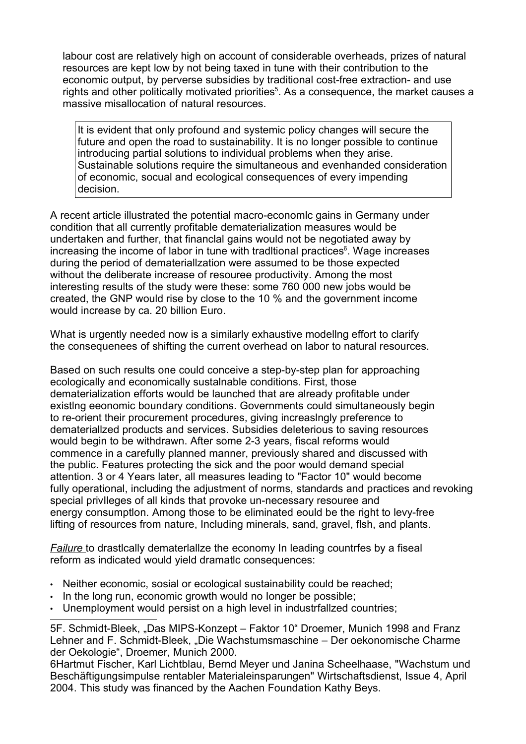labour cost are relatively high on account of considerable overheads, prizes of natural resources are kept low by not being taxed in tune with their contribution to the economic output, by perverse subsidies by traditional cost-free extraction- and use rights and other politically motivated priorities<sup>5</sup>. As a consequence, the market causes a massive misallocation of natural resources.

It is evident that only profound and systemic policy changes will secure the future and open the road to sustainability. It is no longer possible to continue introducing partial solutions to individual problems when they arise. Sustainable solutions require the simultaneous and evenhanded consideration of economic, socual and ecological consequences of every impending decision.

A recent article illustrated the potential macro-economlc gains in Germany under condition that all currently profitable dematerialization measures would be undertaken and further, that financlal gains would not be negotiated away by increasing the income of labor in tune with tradltional practices<sup>6</sup>. Wage increases during the period of demateriallzation were assumed to be those expected without the deliberate increase of resouree productivity. Among the most interesting results of the study were these: some 760 000 new jobs would be created, the GNP would rise by close to the 10 % and the government income would increase by ca. 20 billion Euro.

What is urgently needed now is a similarly exhaustive modellng effort to clarify the consequenees of shifting the current overhead on labor to natural resources.

Based on such results one could conceive a step-by-step plan for approaching ecologically and economically sustalnable conditions. First, those dematerialization efforts would be launched that are already profitable under existlng eeonomic boundary conditions. Governments could simultaneously begin to re-orient their procurement procedures, giving increaslngly preference to demateriallzed products and services. Subsidies deleterious to saving resources would begin to be withdrawn. After some 2-3 years, fiscal reforms would commence in a carefully planned manner, previously shared and discussed with the public. Features protecting the sick and the poor would demand special attention. 3 or 4 Years later, all measures leading to "Factor 10" would become fully operational, including the adjustment of norms, standards and practices and revoking special privIleges of all kinds that provoke un-necessary resouree and energy consumptlon. Among those to be eliminated eould be the right to levy-free lifting of resources from nature, Including minerals, sand, gravel, flsh, and plants.

*Failure* to drastlcally dematerlallze the economy In leading countrfes by a fiseal reform as indicated would yield dramatlc consequences:

- Neither economic, sosial or ecological sustainability could be reached;
- In the long run, economic growth would no Ionger be possible;
- Unemployment would persist on a high level in industrfallzed countries;

5F. Schmidt-Bleek, "Das MIPS-Konzept – Faktor 10" Droemer, Munich 1998 and Franz Lehner and F. Schmidt-Bleek, "Die Wachstumsmaschine – Der oekonomische Charme der Oekologie", Droemer, Munich 2000.

6Hartmut Fischer, Karl Lichtblau, Bernd Meyer und Janina Scheelhaase, "Wachstum und Beschäftigungsimpulse rentabler Materialeinsparungen" Wirtschaftsdienst, Issue 4, April 2004. This study was financed by the Aachen Foundation Kathy Beys.